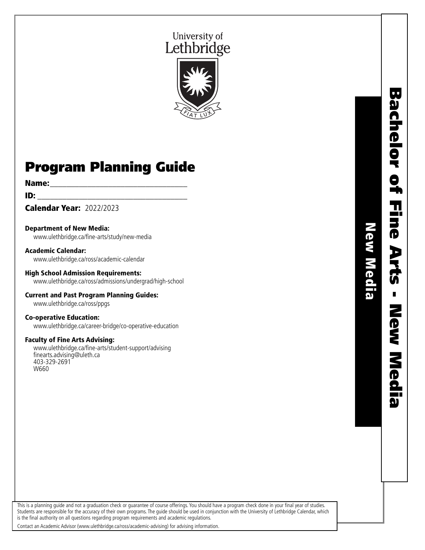# University of Lethbridge



# Program Planning Guide

# Name:\_\_\_\_\_\_\_\_\_\_\_\_\_\_\_\_\_\_\_\_\_\_\_\_\_\_\_\_\_\_\_\_\_

 $ID:$ 

Calendar Year: 2022/2023

Department of New Media: www.ulethbridge.ca/fine-arts/study/new-media

Academic Calendar: www.ulethbridge.ca/ross/academic-calendar

High School Admission Requirements: www.ulethbridge.ca/ross/admissions/undergrad/high-school

Current and Past Program Planning Guides: www.ulethbridge.ca/ross/ppgs

# Co-operative Education:

www.ulethbridge.ca/career-bridge/co-operative-education

# Faculty of Fine Arts Advising:

www.ulethbridge.ca/fine-arts/student-support/advising finearts.advising@uleth.ca 403-329-2691 W660

This is a planning guide and not a graduation check or guarantee of course offerings. You should have a program check done in your final year of studies. Students are responsible for the accuracy of their own programs. The guide should be used in conjunction with the University of Lethbridge Calendar, which is the final authority on all questions regarding program requirements and academic regulations.

Contact an Academic Advisor (www.ulethbridge.ca/ross/academic-advising) for advising information.

New Media

New Media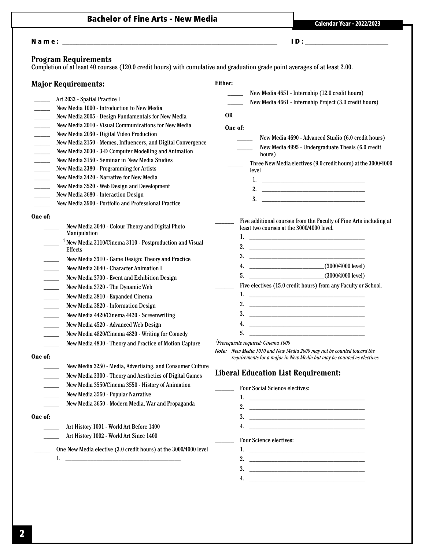# Bachelor of Fine Arts - New Media<br>
Calendar Year - 2022/2023

# N a m e : \_\_\_\_\_\_\_\_\_\_\_\_\_\_\_\_\_\_\_\_\_\_\_\_\_\_\_\_\_\_\_\_\_\_\_\_\_\_\_\_\_\_\_\_\_\_\_\_\_\_\_\_\_\_\_\_\_\_\_\_\_\_ I D : \_\_\_\_\_\_\_\_\_\_\_\_\_\_\_\_\_\_\_\_\_\_\_\_

# **Program Requirements**

Completion of at least 40 courses (120.0 credit hours) with cumulative and graduation grade point averages of at least 2.00.

| <b>Major Requirements:</b>                                                                                                           |                                                                                                                                                                                                                                                                                                                                                                                                                                                           | Either:                                    |                                                                                                                                                                                                                                                                                                                                                                                                                                                       |
|--------------------------------------------------------------------------------------------------------------------------------------|-----------------------------------------------------------------------------------------------------------------------------------------------------------------------------------------------------------------------------------------------------------------------------------------------------------------------------------------------------------------------------------------------------------------------------------------------------------|--------------------------------------------|-------------------------------------------------------------------------------------------------------------------------------------------------------------------------------------------------------------------------------------------------------------------------------------------------------------------------------------------------------------------------------------------------------------------------------------------------------|
| $\sim$<br>$\sim$ 100 $\mu$<br>$\mathcal{L}^{\text{max}}$                                                                             | Art 2033 - Spatial Practice I<br>New Media 1000 - Introduction to New Media<br>New Media 2005 - Design Fundamentals for New Media<br>New Media 2010 - Visual Communications for New Media                                                                                                                                                                                                                                                                 | <b>OR</b>                                  | New Media 4651 - Internship (12.0 credit hours)<br>New Media 4661 - Internship Project (3.0 credit hours)                                                                                                                                                                                                                                                                                                                                             |
| $\sim$ 100 $\mu$<br>$\sim$ 100 $\mu$<br>$\mathcal{L}^{\text{max}}$<br>$\overline{\phantom{a}}$<br>$\sim$<br>$\overline{\phantom{a}}$ | New Media 2030 - Digital Video Production<br>New Media 2150 - Memes, Influencers, and Digital Convergence<br>New Media 3030 - 3-D Computer Modelling and Animation<br>New Media 3150 - Seminar in New Media Studies<br>New Media 3380 - Programming for Artists<br>New Media 3420 - Narrative for New Media<br>New Media 3520 - Web Design and Development<br>New Media 3680 - Interaction Design<br>New Media 3900 - Portfolio and Professional Practice | One of:                                    | New Media 4690 - Advanced Studio (6.0 credit hours)<br>New Media 4995 - Undergraduate Thesis (6.0 credit<br>hours)<br>Three New Media electives (9.0 credit hours) at the 3000/4000<br>level<br>1. $\sim$ 1. The contract of the contract of the contract of the contract of the contract of the contract of the contract of the contract of the contract of the contract of the contract of the contract of the contract of th<br>2. $\qquad \qquad$ |
| One of:                                                                                                                              | New Media 3040 - Colour Theory and Digital Photo<br>Manipulation                                                                                                                                                                                                                                                                                                                                                                                          |                                            | Five additional courses from the Faculty of Fine Arts including at<br>least two courses at the 3000/4000 level.                                                                                                                                                                                                                                                                                                                                       |
|                                                                                                                                      | <sup>1</sup> New Media 3110/Cinema 3110 - Postproduction and Visual<br><b>Effects</b>                                                                                                                                                                                                                                                                                                                                                                     | I.                                         | 2. $\overline{\phantom{a}}$                                                                                                                                                                                                                                                                                                                                                                                                                           |
|                                                                                                                                      | New Media 3310 - Game Design: Theory and Practice                                                                                                                                                                                                                                                                                                                                                                                                         |                                            |                                                                                                                                                                                                                                                                                                                                                                                                                                                       |
|                                                                                                                                      | New Media 3640 - Character Animation I                                                                                                                                                                                                                                                                                                                                                                                                                    |                                            |                                                                                                                                                                                                                                                                                                                                                                                                                                                       |
|                                                                                                                                      | New Media 3700 - Event and Exhibition Design                                                                                                                                                                                                                                                                                                                                                                                                              |                                            | $5.$ (3000/4000 level)                                                                                                                                                                                                                                                                                                                                                                                                                                |
|                                                                                                                                      | New Media 3720 - The Dynamic Web                                                                                                                                                                                                                                                                                                                                                                                                                          |                                            | Five electives (15.0 credit hours) from any Faculty or School.                                                                                                                                                                                                                                                                                                                                                                                        |
|                                                                                                                                      | New Media 3810 - Expanded Cinema                                                                                                                                                                                                                                                                                                                                                                                                                          |                                            |                                                                                                                                                                                                                                                                                                                                                                                                                                                       |
| $\overline{\phantom{a}}$                                                                                                             | New Media 3820 - Information Design                                                                                                                                                                                                                                                                                                                                                                                                                       |                                            | 2. $\overline{\phantom{a}}$                                                                                                                                                                                                                                                                                                                                                                                                                           |
| $\overline{\phantom{a}}$                                                                                                             | New Media 4420/Cinema 4420 - Screenwriting                                                                                                                                                                                                                                                                                                                                                                                                                |                                            |                                                                                                                                                                                                                                                                                                                                                                                                                                                       |
| $\sim$ 10 $\mu$                                                                                                                      | New Media 4520 - Advanced Web Design                                                                                                                                                                                                                                                                                                                                                                                                                      |                                            |                                                                                                                                                                                                                                                                                                                                                                                                                                                       |
|                                                                                                                                      | New Media 4820/Cinema 4820 - Writing for Comedy                                                                                                                                                                                                                                                                                                                                                                                                           | 5.                                         |                                                                                                                                                                                                                                                                                                                                                                                                                                                       |
|                                                                                                                                      | New Media 4830 - Theory and Practice of Motion Capture                                                                                                                                                                                                                                                                                                                                                                                                    |                                            | <sup>7</sup> Prerequisite required: Cinema 1000                                                                                                                                                                                                                                                                                                                                                                                                       |
| One of:                                                                                                                              |                                                                                                                                                                                                                                                                                                                                                                                                                                                           |                                            | Note: New Media 1010 and New Media 2000 may not be counted toward the<br>requirements for a major in New Media but may be counted as electives.                                                                                                                                                                                                                                                                                                       |
|                                                                                                                                      | New Media 3250 - Media, Advertising, and Consumer Culture<br>New Media 3300 - Theory and Aesthetics of Digital Games                                                                                                                                                                                                                                                                                                                                      | <b>Liberal Education List Requirement:</b> |                                                                                                                                                                                                                                                                                                                                                                                                                                                       |
|                                                                                                                                      | New Media 3550/Cinema 3550 - History of Animation                                                                                                                                                                                                                                                                                                                                                                                                         |                                            | <b>Four Social Science electives:</b>                                                                                                                                                                                                                                                                                                                                                                                                                 |
|                                                                                                                                      | New Media 3560 - Popular Narrative                                                                                                                                                                                                                                                                                                                                                                                                                        | 1.                                         | <u> 1989 - Johann Harry Harry Harry Harry Harry Harry Harry Harry Harry Harry Harry Harry Harry Harry Harry Harry Harry Harry Harry Harry Harry Harry Harry Harry Harry Harry Harry Harry Harry Harry Harry Harry Harry Harry Ha</u>                                                                                                                                                                                                                  |
|                                                                                                                                      | New Media 3650 - Modern Media, War and Propaganda                                                                                                                                                                                                                                                                                                                                                                                                         |                                            |                                                                                                                                                                                                                                                                                                                                                                                                                                                       |
| One of:                                                                                                                              |                                                                                                                                                                                                                                                                                                                                                                                                                                                           |                                            |                                                                                                                                                                                                                                                                                                                                                                                                                                                       |
|                                                                                                                                      | Art History 1001 - World Art Before 1400                                                                                                                                                                                                                                                                                                                                                                                                                  |                                            | 4.                                                                                                                                                                                                                                                                                                                                                                                                                                                    |
|                                                                                                                                      | Art History 1002 - World Art Since 1400                                                                                                                                                                                                                                                                                                                                                                                                                   |                                            |                                                                                                                                                                                                                                                                                                                                                                                                                                                       |
|                                                                                                                                      |                                                                                                                                                                                                                                                                                                                                                                                                                                                           |                                            | Four Science electives:                                                                                                                                                                                                                                                                                                                                                                                                                               |
|                                                                                                                                      | One New Media elective (3.0 credit hours) at the 3000/4000 level                                                                                                                                                                                                                                                                                                                                                                                          | l.                                         | <u> 1989 - Johann Stein, markin fan it ferskearre fan it ferskearre fan it ferskearre fan it ferskearre fan it f</u>                                                                                                                                                                                                                                                                                                                                  |
|                                                                                                                                      | 1.<br><u> 1989 - Andrea State Barbara, amerikan personal di sebagai personal di sebagai personal di sebagai personal di</u>                                                                                                                                                                                                                                                                                                                               |                                            |                                                                                                                                                                                                                                                                                                                                                                                                                                                       |
|                                                                                                                                      |                                                                                                                                                                                                                                                                                                                                                                                                                                                           |                                            |                                                                                                                                                                                                                                                                                                                                                                                                                                                       |
|                                                                                                                                      |                                                                                                                                                                                                                                                                                                                                                                                                                                                           |                                            |                                                                                                                                                                                                                                                                                                                                                                                                                                                       |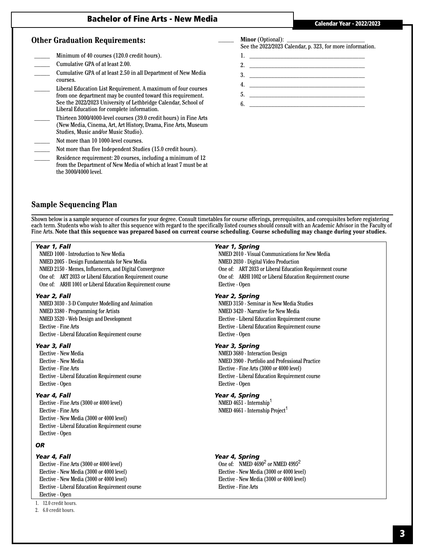# Bachelor of Fine Arts - New Media

### **Other Graduation Requirements:**

- Minimum of 40 courses (120.0 credit hours).
- \_\_\_\_\_ Cumulative GPA of at least 2.00.
- \_\_\_\_\_ Cumulative GPA of at least 2.50 in all Department of New Media courses.
- \_\_\_\_\_ Liberal Education List Requirement. A maximum of four courses from one department may be counted toward this requirement. See the 2022/2023 University of Lethbridge Calendar, School of Liberal Education for complete information.
- \_\_\_\_\_ Thirteen 3000/4000-level courses (39.0 credit hours) in Fine Arts (New Media, Cinema, Art, Art History, Drama, Fine Arts, Museum Studies, Music and/or Music Studio).
- Not more than 10 1000-level courses.
- Not more than five Independent Studies (15.0 credit hours).
- Residence requirement: 20 courses, including a minimum of 12 from the Department of New Media of which at least 7 must be at the 3000/4000 level.

#### **Minor** (Optional):

See the 2022/2023 Calendar, p. 323, for more information.

- 1.  $\frac{1}{\sqrt{2}}$
- 2. \_\_\_\_\_\_\_\_\_\_\_\_\_\_\_\_\_\_\_\_\_\_\_\_\_\_\_\_\_\_\_\_\_\_\_\_\_
- $3.$
- 4. \_\_\_\_\_\_\_\_\_\_\_\_\_\_\_\_\_\_\_\_\_\_\_\_\_\_\_\_\_\_\_\_\_\_\_\_\_
- $5.$   $\qquad \qquad$
- $6.$

# **Sample Sequencing Plan**

Shown below is a sample sequence of courses for your degree. Consult timetables for course offerings, prerequisites, and corequisites before registering each term. Students who wish to alter this sequence with regard to the specifically listed courses should consult with an Academic Advisor in the Faculty of Fine Arts. **Note that this sequence was prepared based on current course scheduling. Course scheduling may change during your studies.**

#### *Year 1, Fall*

NMED 1000 - Introduction to New Media NMED 2005 - Design Fundamentals for New Media NMED 2150 - Memes, Influencers, and Digital Convergence One of: ART 2033 or Liberal Education Requirement course One of: ARHI 1001 or Liberal Education Requirement course

#### *Year 2, Fall*

NMED 3030 - 3-D Computer Modelling and Animation NMED 3380 - Programming for Artists NMED 3520 - Web Design and Development Elective - Fine Arts Elective - Liberal Education Requirement course

#### *Year 3, Fall*

Elective - New Media Elective - New Media Elective - Fine Arts Elective - Liberal Education Requirement course Elective - Open

#### *Year 4, Fall*

Elective - Fine Arts (3000 or 4000 level) Elective - Fine Arts Elective - New Media (3000 or 4000 level) Elective - Liberal Education Requirement course Elective - Open

#### *OR*

#### *Year 4, Fall*

Elective - Fine Arts (3000 or 4000 level) Elective - New Media (3000 or 4000 level) Elective - New Media (3000 or 4000 level) Elective - Liberal Education Requirement course Elective - Open

1. 12.0 credit hours.

2. 6.0 credit hours.

#### *Year 1, Spring*

NMED 2010 - Visual Communications for New Media NMED 2030 - Digital Video Production One of: ART 2033 or Liberal Education Requirement course One of: ARHI 1002 or Liberal Education Requirement course Elective - Open

#### *Year 2, Spring*

NMED 3150 - Seminar in New Media Studies NMED 3420 - Narrative for New Media Elective - Liberal Education Requirement course Elective - Liberal Education Requirement course Elective - Open

#### *Year 3, Spring*

NMED 3680 - Interaction Design NMED 3900 - Portfolio and Professional Practice Elective - Fine Arts (3000 or 4000 level) Elective - Liberal Education Requirement course Elective - Open

#### *Year 4, Spring*

NMED 4651 - Internship<sup>1</sup> NMED  $4661$  - Internship Project<sup>1</sup>

### *Year 4, Spring*

One of: NMED  $\overline{4690}^2$  or NMED  $4995^2$ Elective - New Media (3000 or 4000 level) Elective - New Media (3000 or 4000 level) Elective - Fine Arts